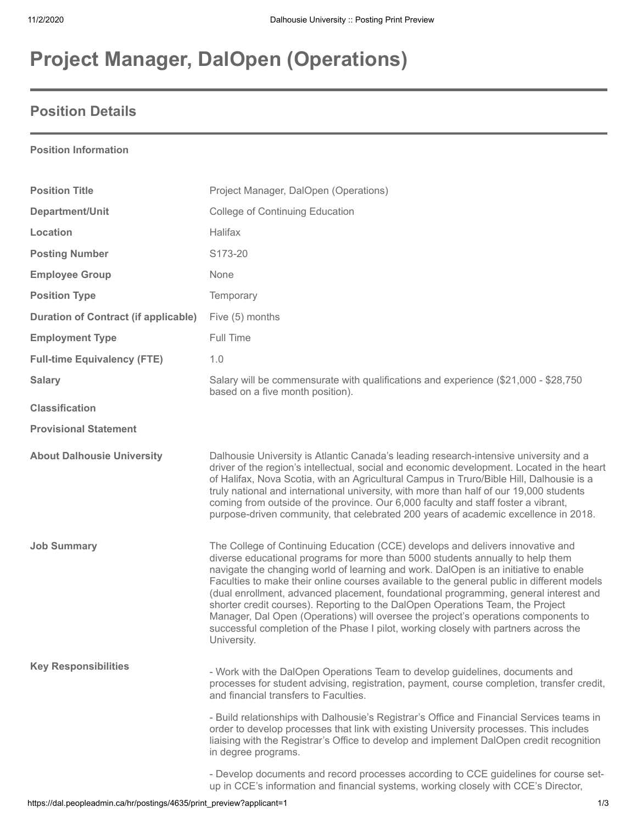# **Project Manager, DalOpen (Operations)**

### **Position Details**

#### **Position Information**

| <b>Position Title</b>                       | Project Manager, DalOpen (Operations)                                                                                                                                                                                                                                                                                                                                                                                                                                                                                                                                                                                                                                                                                         |
|---------------------------------------------|-------------------------------------------------------------------------------------------------------------------------------------------------------------------------------------------------------------------------------------------------------------------------------------------------------------------------------------------------------------------------------------------------------------------------------------------------------------------------------------------------------------------------------------------------------------------------------------------------------------------------------------------------------------------------------------------------------------------------------|
| Department/Unit                             | <b>College of Continuing Education</b>                                                                                                                                                                                                                                                                                                                                                                                                                                                                                                                                                                                                                                                                                        |
| Location                                    | Halifax                                                                                                                                                                                                                                                                                                                                                                                                                                                                                                                                                                                                                                                                                                                       |
| <b>Posting Number</b>                       | S173-20                                                                                                                                                                                                                                                                                                                                                                                                                                                                                                                                                                                                                                                                                                                       |
| <b>Employee Group</b>                       | None                                                                                                                                                                                                                                                                                                                                                                                                                                                                                                                                                                                                                                                                                                                          |
| <b>Position Type</b>                        | Temporary                                                                                                                                                                                                                                                                                                                                                                                                                                                                                                                                                                                                                                                                                                                     |
| <b>Duration of Contract (if applicable)</b> | Five (5) months                                                                                                                                                                                                                                                                                                                                                                                                                                                                                                                                                                                                                                                                                                               |
| <b>Employment Type</b>                      | Full Time                                                                                                                                                                                                                                                                                                                                                                                                                                                                                                                                                                                                                                                                                                                     |
| <b>Full-time Equivalency (FTE)</b>          | 1.0                                                                                                                                                                                                                                                                                                                                                                                                                                                                                                                                                                                                                                                                                                                           |
| <b>Salary</b>                               | Salary will be commensurate with qualifications and experience (\$21,000 - \$28,750<br>based on a five month position).                                                                                                                                                                                                                                                                                                                                                                                                                                                                                                                                                                                                       |
| <b>Classification</b>                       |                                                                                                                                                                                                                                                                                                                                                                                                                                                                                                                                                                                                                                                                                                                               |
| <b>Provisional Statement</b>                |                                                                                                                                                                                                                                                                                                                                                                                                                                                                                                                                                                                                                                                                                                                               |
| <b>About Dalhousie University</b>           | Dalhousie University is Atlantic Canada's leading research-intensive university and a<br>driver of the region's intellectual, social and economic development. Located in the heart<br>of Halifax, Nova Scotia, with an Agricultural Campus in Truro/Bible Hill, Dalhousie is a<br>truly national and international university, with more than half of our 19,000 students<br>coming from outside of the province. Our 6,000 faculty and staff foster a vibrant,<br>purpose-driven community, that celebrated 200 years of academic excellence in 2018.                                                                                                                                                                       |
| <b>Job Summary</b>                          | The College of Continuing Education (CCE) develops and delivers innovative and<br>diverse educational programs for more than 5000 students annually to help them<br>navigate the changing world of learning and work. DalOpen is an initiative to enable<br>Faculties to make their online courses available to the general public in different models<br>(dual enrollment, advanced placement, foundational programming, general interest and<br>shorter credit courses). Reporting to the DalOpen Operations Team, the Project<br>Manager, Dal Open (Operations) will oversee the project's operations components to<br>successful completion of the Phase I pilot, working closely with partners across the<br>University. |
| <b>Key Responsibilities</b>                 | - Work with the DalOpen Operations Team to develop guidelines, documents and<br>processes for student advising, registration, payment, course completion, transfer credit,<br>and financial transfers to Faculties.<br>- Build relationships with Dalhousie's Registrar's Office and Financial Services teams in<br>order to develop processes that link with existing University processes. This includes<br>liaising with the Registrar's Office to develop and implement DalOpen credit recognition<br>in degree programs.                                                                                                                                                                                                 |
|                                             | - Develop documents and record processes according to CCE guidelines for course set-<br>up in CCE's information and financial systems, working closely with CCE's Director,                                                                                                                                                                                                                                                                                                                                                                                                                                                                                                                                                   |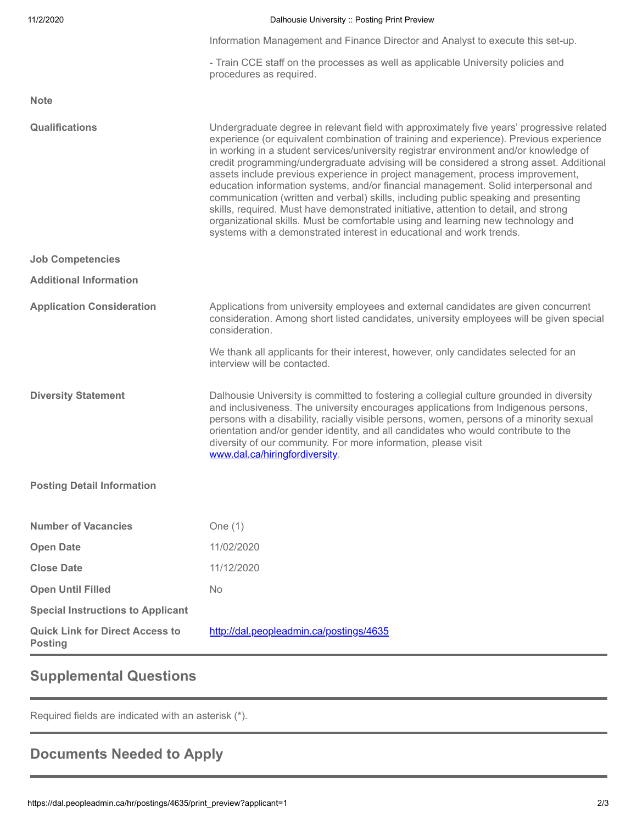| 11/2/2020                                                | Dalhousie University :: Posting Print Preview                                                                                                                                                                                                                                                                                                                                                                                                                                                                                                                                                                                                                                                                                                                                                                                                                                               |
|----------------------------------------------------------|---------------------------------------------------------------------------------------------------------------------------------------------------------------------------------------------------------------------------------------------------------------------------------------------------------------------------------------------------------------------------------------------------------------------------------------------------------------------------------------------------------------------------------------------------------------------------------------------------------------------------------------------------------------------------------------------------------------------------------------------------------------------------------------------------------------------------------------------------------------------------------------------|
|                                                          | Information Management and Finance Director and Analyst to execute this set-up.                                                                                                                                                                                                                                                                                                                                                                                                                                                                                                                                                                                                                                                                                                                                                                                                             |
|                                                          | - Train CCE staff on the processes as well as applicable University policies and<br>procedures as required.                                                                                                                                                                                                                                                                                                                                                                                                                                                                                                                                                                                                                                                                                                                                                                                 |
| <b>Note</b>                                              |                                                                                                                                                                                                                                                                                                                                                                                                                                                                                                                                                                                                                                                                                                                                                                                                                                                                                             |
| Qualifications                                           | Undergraduate degree in relevant field with approximately five years' progressive related<br>experience (or equivalent combination of training and experience). Previous experience<br>in working in a student services/university registrar environment and/or knowledge of<br>credit programming/undergraduate advising will be considered a strong asset. Additional<br>assets include previous experience in project management, process improvement,<br>education information systems, and/or financial management. Solid interpersonal and<br>communication (written and verbal) skills, including public speaking and presenting<br>skills, required. Must have demonstrated initiative, attention to detail, and strong<br>organizational skills. Must be comfortable using and learning new technology and<br>systems with a demonstrated interest in educational and work trends. |
| <b>Job Competencies</b>                                  |                                                                                                                                                                                                                                                                                                                                                                                                                                                                                                                                                                                                                                                                                                                                                                                                                                                                                             |
| <b>Additional Information</b>                            |                                                                                                                                                                                                                                                                                                                                                                                                                                                                                                                                                                                                                                                                                                                                                                                                                                                                                             |
| <b>Application Consideration</b>                         | Applications from university employees and external candidates are given concurrent<br>consideration. Among short listed candidates, university employees will be given special<br>consideration.                                                                                                                                                                                                                                                                                                                                                                                                                                                                                                                                                                                                                                                                                           |
|                                                          | We thank all applicants for their interest, however, only candidates selected for an<br>interview will be contacted.                                                                                                                                                                                                                                                                                                                                                                                                                                                                                                                                                                                                                                                                                                                                                                        |
| <b>Diversity Statement</b>                               | Dalhousie University is committed to fostering a collegial culture grounded in diversity<br>and inclusiveness. The university encourages applications from Indigenous persons,<br>persons with a disability, racially visible persons, women, persons of a minority sexual<br>orientation and/or gender identity, and all candidates who would contribute to the<br>diversity of our community. For more information, please visit<br>www.dal.ca/hiringfordiversity.                                                                                                                                                                                                                                                                                                                                                                                                                        |
| <b>Posting Detail Information</b>                        |                                                                                                                                                                                                                                                                                                                                                                                                                                                                                                                                                                                                                                                                                                                                                                                                                                                                                             |
| <b>Number of Vacancies</b>                               | One $(1)$                                                                                                                                                                                                                                                                                                                                                                                                                                                                                                                                                                                                                                                                                                                                                                                                                                                                                   |
| <b>Open Date</b>                                         | 11/02/2020                                                                                                                                                                                                                                                                                                                                                                                                                                                                                                                                                                                                                                                                                                                                                                                                                                                                                  |
| <b>Close Date</b>                                        | 11/12/2020                                                                                                                                                                                                                                                                                                                                                                                                                                                                                                                                                                                                                                                                                                                                                                                                                                                                                  |
| <b>Open Until Filled</b>                                 | No                                                                                                                                                                                                                                                                                                                                                                                                                                                                                                                                                                                                                                                                                                                                                                                                                                                                                          |
| <b>Special Instructions to Applicant</b>                 |                                                                                                                                                                                                                                                                                                                                                                                                                                                                                                                                                                                                                                                                                                                                                                                                                                                                                             |
| <b>Quick Link for Direct Access to</b><br><b>Posting</b> | http://dal.peopleadmin.ca/postings/4635                                                                                                                                                                                                                                                                                                                                                                                                                                                                                                                                                                                                                                                                                                                                                                                                                                                     |
|                                                          |                                                                                                                                                                                                                                                                                                                                                                                                                                                                                                                                                                                                                                                                                                                                                                                                                                                                                             |

## **Supplemental Questions**

Required fields are indicated with an asterisk (\*).

## **Documents Needed to Apply**